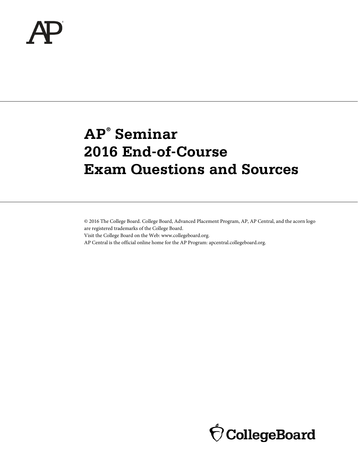# **AP® Seminar 2016 End-of-Course Exam Questions and Sources**

© 2016 The College Board. College Board, Advanced Placement Program, AP, AP Central, and the acorn logo are registered trademarks of the College Board.

Visit the College Board on the Web: [www.collegeboard.org.](www.collegeboard.org)

AP Central is the official online home for the AP Program: [apcentral.collegeboard.org.](apcentral.collegeboard.org)

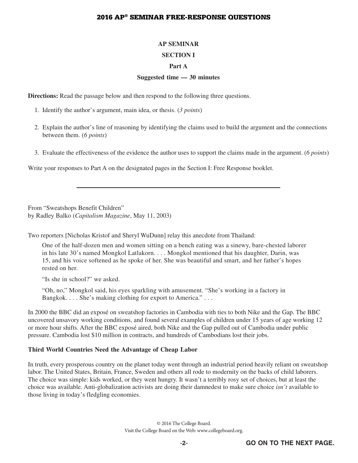### **AP SEMINAR**

#### **SECTION I**

#### **Part A**

#### **Suggested time — 30 minutes**

**Directions:** Read the passage below and then respond to the following three questions.

- 1. Identify the author's argument, main idea, or thesis. (*3 points*)
- 2. Explain the author's line of reasoning by identifying the claims used to build the argument and the connections between them. (*6 points*)
- 3. Evaluate the effectiveness of the evidence the author uses to support the claims made in the argument. (*6 points*)

Write your responses to Part A on the designated pages in the Section I: Free Response booklet.

From "Sweatshops Benefit Children" by Radley Balko (*Capitalism Magazine*, May 11, 2003)

Two reporters [Nicholas Kristof and Sheryl WuDunn] relay this anecdote from Thailand:

One of the half-dozen men and women sitting on a bench eating was a sinewy, bare-chested laborer in his late 30's named Mongkol Latlakorn.... Mongkol mentioned that his daughter, Darin, was 15, and his voice softened as he spoke of her. She was beautiful and smart, and her father's hopes rested on her.

"Is she in school?" we asked.

"Oh, no," Mongkol said, his eyes sparkling with amusement. "She's working in a factory in Bangkok.... She's making clothing for export to America."...

In 2000 the BBC did an exposé on sweatshop factories in Cambodia with ties to both Nike and the Gap. The BBC uncovered unsavory working conditions, and found several examples of children under 15 years of age working 12 or more hour shifts. After the BBC exposé aired, both Nike and the Gap pulled out of Cambodia under public pressure. Cambodia lost \$10 million in contracts, and hundreds of Cambodians lost their jobs.

#### **Third World Countries Need the Advantage of Cheap Labor**

In truth, every prosperous country on the planet today went through an industrial period heavily reliant on sweatshop labor. The United States, Britain, France, Sweden and others all rode to modernity on the backs of child laborers. The choice was simple: kids worked, or they went hungry. It wasn't a terribly rosy set of choices, but at least the choice was available. Anti-globalization activists are doing their damnedest to make sure choice *isn't* available to those living in today's fledgling economies.

> © 2016 The College Board. Visit the College Board on the Web: www.collegeboard.org.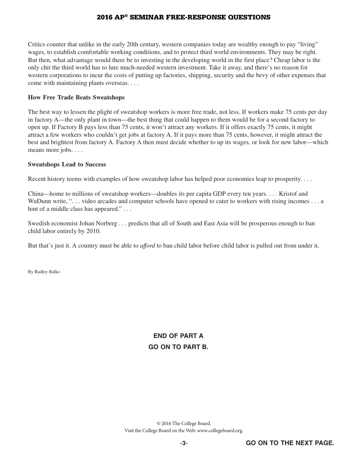Critics counter that unlike in the early 20th century, western companies today are wealthy enough to pay "living" wages, to establish comfortable working conditions, and to protect third world environments. They may be right. But then, what advantage would there be to investing in the developing world in the first place? Cheap labor is the only chit the third world has to lure much-needed western investment. Take it away, and there's no reason for western corporations to incur the costs of putting up factories, shipping, security and the bevy of other expenses that come with maintaining plants overseas....

#### **How Free Trade Beats Sweatshops**

The best way to lessen the plight of sweatshop workers is more free trade, not less. If workers make 75 cents per day in factory A—the only plant in town—the best thing that could happen to them would be for a second factory to open up. If Factory B pays less than 75 cents, it won't attract any workers. If it offers exactly 75 cents, it might attract a few workers who couldn't get jobs at factory A. If it pays more than 75 cents, however, it might attract the best and brightest from factory A. Factory A then must decide whether to up its wages, or look for new labor—which means more jobs....

#### **Sweatshops Lead to Success**

Recent history teems with examples of how sweatshop labor has helped poor economies leap to prosperity....

China—home to millions of sweatshop workers—doubles its per capita GDP every ten years.... Kristof and WuDunn write, "... video arcades and computer schools have opened to cater to workers with rising incomes ... a hint of a middle class has appeared."...

Swedish economist Johan Norberg... predicts that all of South and East Asia will be prosperous enough to ban child labor entirely by 2010.

But that's just it. A country must be able to *afford* to ban child labor before child labor is pulled out from under it.

By Radley Balko

**END OF PART A GO ON TO PART B.**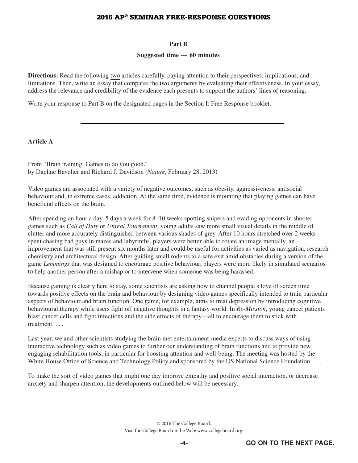#### **Part B**

#### **Suggested time — 60 minutes**

**Directions:** Read the following two articles carefully, paying attention to their perspectives, implications, and limitations. Then, write an essay that compares the two arguments by evaluating their effectiveness. In your essay, address the relevance and credibility of the evidence each presents to support the authors' lines of reasoning.

Write your response to Part B on the designated pages in the Section I: Free Response booklet.

**Article A** 

From "Brain training: Games to do you good." by Daphne Bavelier and Richard J. Davidson (*Nature*, February 28, 2013)

Video games are associated with a variety of negative outcomes, such as obesity, aggressiveness, antisocial behaviour and, in extreme cases, addiction. At the same time, evidence is mounting that playing games can have beneficial effects on the brain.

After spending an hour a day, 5 days a week for 8–10 weeks spotting snipers and evading opponents in shooter games such as *Call of Duty* or *Unreal Tournament*, young adults saw more small visual details in the middle of clutter and more accurately distinguished between various shades of grey. After 10 hours stretched over 2 weeks spent chasing bad guys in mazes and labyrinths, players were better able to rotate an image mentally, an improvement that was still present six months later and could be useful for activities as varied as navigation, research chemistry and architectural design. After guiding small rodents to a safe exit amid obstacles during a version of the game *Lemmings* that was designed to encourage positive behaviour, players were more likely in simulated scenarios to help another person after a mishap or to intervene when someone was being harassed.

Because gaming is clearly here to stay, some scientists are asking how to channel people's love of screen time towards positive effects on the brain and behaviour by designing video games specifically intended to train particular aspects of behaviour and brain function. One game, for example, aims to treat depression by introducing cognitive behavioural therapy while users fight off negative thoughts in a fantasy world. In *Re-Mission*, young cancer patients blast cancer cells and fight infections and the side effects of therapy—all to encourage them to stick with treatment...

Last year, we and other scientists studying the brain met entertainment-media experts to discuss ways of using interactive technology such as video games to further our understanding of brain functions and to provide new, engaging rehabilitation tools, in particular for boosting attention and well-being. The meeting was hosted by the White House Office of Science and Technology Policy and sponsored by the US National Science Foundation....

To make the sort of video games that might one day improve empathy and positive social interaction, or decrease anxiety and sharpen attention, the developments outlined below will be necessary.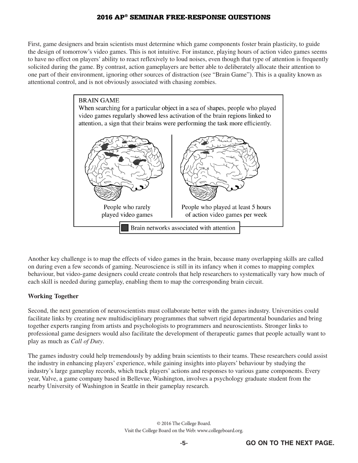First, game designers and brain scientists must determine which game components foster brain plasticity, to guide the design of tomorrow's video games. This is not intuitive. For instance, playing hours of action video games seems to have no effect on players' ability to react reflexively to loud noises, even though that type of attention is frequently solicited during the game. By contrast, action gameplayers are better able to deliberately allocate their attention to one part of their environment, ignoring other sources of distraction (see "Brain Game"). This is a quality known as attentional control, and is not obviously associated with chasing zombies.



Another key challenge is to map the effects of video games in the brain, because many overlapping skills are called on during even a few seconds of gaming. Neuroscience is still in its infancy when it comes to mapping complex behaviour, but video-game designers could create controls that help researchers to systematically vary how much of each skill is needed during gameplay, enabling them to map the corresponding brain circuit.

#### **Working Together**

Second, the next generation of neuroscientists must collaborate better with the games industry. Universities could facilitate links by creating new multidisciplinary programmes that subvert rigid departmental boundaries and bring together experts ranging from artists and psychologists to programmers and neuroscientists. Stronger links to professional game designers would also facilitate the development of therapeutic games that people actually want to play as much as *Call of Duty*.

The games industry could help tremendously by adding brain scientists to their teams. These researchers could assist the industry in enhancing players' experience, while gaining insights into players' behaviour by studying the industry's large gameplay records, which track players' actions and responses to various game components. Every year, Valve, a game company based in Bellevue, Washington, involves a psychology graduate student from the nearby University of Washington in Seattle in their gameplay research.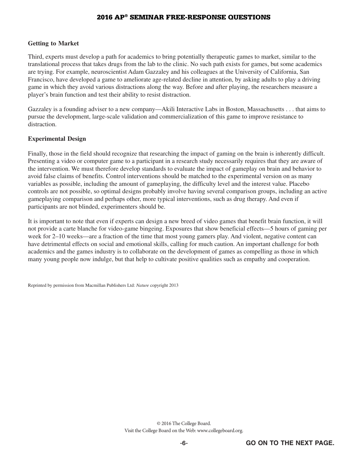#### **Getting to Market**

Third, experts must develop a path for academics to bring potentially therapeutic games to market, similar to the translational process that takes drugs from the lab to the clinic. No such path exists for games, but some academics are trying. For example, neuroscientist Adam Gazzaley and his colleagues at the University of California, San Francisco, have developed a game to ameliorate age-related decline in attention, by asking adults to play a driving game in which they avoid various distractions along the way. Before and after playing, the researchers measure a player's brain function and test their ability to resist distraction.

Gazzaley is a founding adviser to a new company—Akili Interactive Labs in Boston, Massachusetts... that aims to pursue the development, large-scale validation and commercialization of this game to improve resistance to distraction.

#### **Experimental Design**

Finally, those in the field should recognize that researching the impact of gaming on the brain is inherently difficult. Presenting a video or computer game to a participant in a research study necessarily requires that they are aware of the intervention. We must therefore develop standards to evaluate the impact of gameplay on brain and behavior to avoid false claims of benefits. Control interventions should be matched to the experimental version on as many variables as possible, including the amount of gameplaying, the difficulty level and the interest value. Placebo controls are not possible, so optimal designs probably involve having several comparison groups, including an active gameplaying comparison and perhaps other, more typical interventions, such as drug therapy. And even if participants are not blinded, experimenters should be.

It is important to note that even if experts can design a new breed of video games that benefit brain function, it will not provide a carte blanche for video-game bingeing. Exposures that show beneficial effects—5 hours of gaming per week for 2–10 weeks—are a fraction of the time that most young gamers play. And violent, negative content can have detrimental effects on social and emotional skills, calling for much caution. An important challenge for both academics and the games industry is to collaborate on the development of games as compelling as those in which many young people now indulge, but that help to cultivate positive qualities such as empathy and cooperation.

Reprinted by permission from Macmillan Publishers Ltd: *Nature* copyright 2013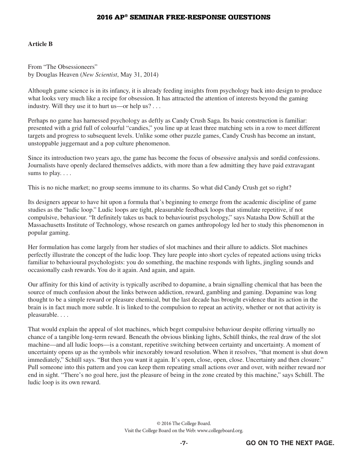#### 2016 AP® SEMINAR FREE-RESPONSE QUESTIONS

#### **Article B**

From "The Obsessioneers" by Douglas Heaven (*New Scientist*, May 31, 2014)

Although game science is in its infancy, it is already feeding insights from psychology back into design to produce what looks very much like a recipe for obsession. It has attracted the attention of interests beyond the gaming industry. Will they use it to hurt us—or help us?...

Perhaps no game has harnessed psychology as deftly as Candy Crush Saga. Its basic construction is familiar: presented with a grid full of colourful "candies," you line up at least three matching sets in a row to meet different targets and progress to subsequent levels. Unlike some other puzzle games, Candy Crush has become an instant, unstoppable juggernaut and a pop culture phenomenon.

Since its introduction two years ago, the game has become the focus of obsessive analysis and sordid confessions. Journalists have openly declared themselves addicts, with more than a few admitting they have paid extravagant sums to play....

This is no niche market; no group seems immune to its charms. So what did Candy Crush get so right?

Its designers appear to have hit upon a formula that's beginning to emerge from the academic discipline of game studies as the "ludic loop." Ludic loops are tight, pleasurable feedback loops that stimulate repetitive, if not compulsive, behaviour. "It definitely takes us back to behaviourist psychology," says Natasha Dow Schüll at the Massachusetts Institute of Technology, whose research on games anthropology led her to study this phenomenon in popular gaming.

Her formulation has come largely from her studies of slot machines and their allure to addicts. Slot machines perfectly illustrate the concept of the ludic loop. They lure people into short cycles of repeated actions using tricks familiar to behavioural psychologists: you do something, the machine responds with lights, jingling sounds and occasionally cash rewards. You do it again. And again, and again.

Our affinity for this kind of activity is typically ascribed to dopamine, a brain signalling chemical that has been the source of much confusion about the links between addiction, reward, gambling and gaming. Dopamine was long thought to be a simple reward or pleasure chemical, but the last decade has brought evidence that its action in the brain is in fact much more subtle. It is linked to the compulsion to repeat an activity, whether or not that activity is pleasurable....

That would explain the appeal of slot machines, which beget compulsive behaviour despite offering virtually no chance of a tangible long-term reward. Beneath the obvious blinking lights, Schüll thinks, the real draw of the slot machine—and all ludic loops—is a constant, repetitive switching between certainty and uncertainty. A moment of uncertainty opens up as the symbols whir inexorably toward resolution. When it resolves, "that moment is shut down immediately," Schüll says. "But then you want it again. It's open, close, open, close. Uncertainty and then closure." Pull someone into this pattern and you can keep them repeating small actions over and over, with neither reward nor end in sight. "There's no goal here, just the pleasure of being in the zone created by this machine," says Schüll. The ludic loop is its own reward.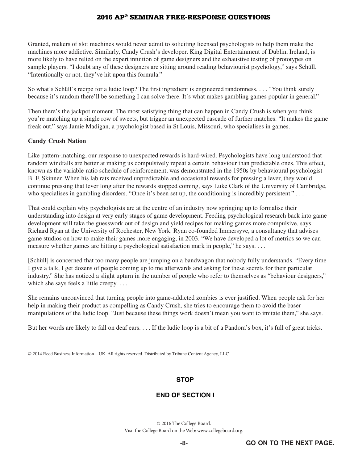Granted, makers of slot machines would never admit to soliciting licensed psychologists to help them make the machines more addictive. Similarly, Candy Crush's developer, King Digital Entertainment of Dublin, Ireland, is more likely to have relied on the expert intuition of game designers and the exhaustive testing of prototypes on sample players. "I doubt any of these designers are sitting around reading behaviourist psychology," says Schüll. "Intentionally or not, they've hit upon this formula."

So what's Schüll's recipe for a ludic loop? The first ingredient is engineered randomness. . . . "You think surely because it's random there'll be something I can solve there. It's what makes gambling games popular in general."

Then there's the jackpot moment. The most satisfying thing that can happen in Candy Crush is when you think you're matching up a single row of sweets, but trigger an unexpected cascade of further matches. "It makes the game freak out," says Jamie Madigan, a psychologist based in St Louis, Missouri, who specialises in games.

#### **Candy Crush Nation**

Like pattern-matching, our response to unexpected rewards is hard-wired. Psychologists have long understood that random windfalls are better at making us compulsively repeat a certain behaviour than predictable ones. This effect, known as the variable-ratio schedule of reinforcement, was demonstrated in the 1950s by behavioural psychologist B. F. Skinner. When his lab rats received unpredictable and occasional rewards for pressing a lever, they would continue pressing that lever long after the rewards stopped coming, says Luke Clark of the University of Cambridge, who specialises in gambling disorders. "Once it's been set up, the conditioning is incredibly persistent."...

That could explain why psychologists are at the centre of an industry now springing up to formalise their understanding into design at very early stages of game development. Feeding psychological research back into game development will take the guesswork out of design and yield recipes for making games more compulsive, says Richard Ryan at the University of Rochester, New York. Ryan co-founded Immersyve, a consultancy that advises game studios on how to make their games more engaging, in 2003. "We have developed a lot of metrics so we can measure whether games are hitting a psychological satisfaction mark in people," he says....

[Schüll] is concerned that too many people are jumping on a bandwagon that nobody fully understands. "Every time I give a talk, I get dozens of people coming up to me afterwards and asking for these secrets for their particular industry." She has noticed a slight upturn in the number of people who refer to themselves as "behaviour designers," which she says feels a little creepy....

She remains unconvinced that turning people into game-addicted zombies is ever justified. When people ask for her help in making their product as compelling as Candy Crush, she tries to encourage them to avoid the baser manipulations of the ludic loop. "Just because these things work doesn't mean you want to imitate them," she says.

But her words are likely to fall on deaf ears. . . . If the ludic loop is a bit of a Pandora's box, it's full of great tricks.

© 2014 Reed Business Information—UK. All rights reserved. Distributed by Tribune Content Agency, LLC

#### **STOP**

#### **END OF SECTION I**

© 2016 The College Board. Visit the College Board on the Web: www.collegeboard.org.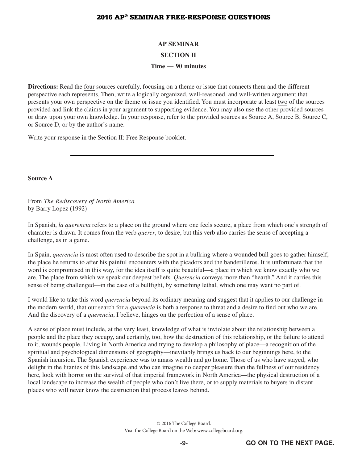## **AP SEMINAR SECTION II Time — 90 minutes**

**Directions:** Read the four sources carefully, focusing on a theme or issue that connects them and the different perspective each represents. Then, write a logically organized, well-reasoned, and well-written argument that presents your own perspective on the theme or issue you identified. You must incorporate at least two of the sources provided and link the claims in your argument to supporting evidence. You may also use the other provided sources or draw upon your own knowledge. In your response, refer to the provided sources as Source A, Source B, Source C, or Source D, or by the author's name.

Write your response in the Section II: Free Response booklet.

**Source A** 

From *The Rediscovery of North America*  by Barry Lopez (1992)

In Spanish, *la querencia* refers to a place on the ground where one feels secure, a place from which one's strength of character is drawn. It comes from the verb *querer*, to desire, but this verb also carries the sense of accepting a challenge, as in a game.

In Spain, *querencia* is most often used to describe the spot in a bullring where a wounded bull goes to gather himself, the place he returns to after his painful encounters with the picadors and the banderilleros. It is unfortunate that the word is compromised in this way, for the idea itself is quite beautiful—a place in which we know exactly who we are. The place from which we speak our deepest beliefs. *Querencia* conveys more than "hearth." And it carries this sense of being challenged—in the case of a bullfight, by something lethal, which one may want no part of.

I would like to take this word *querencia* beyond its ordinary meaning and suggest that it applies to our challenge in the modern world, that our search for a *querencia* is both a response to threat and a desire to find out who we are. And the discovery of a *querencia*, I believe, hinges on the perfection of a sense of place.

A sense of place must include, at the very least, knowledge of what is inviolate about the relationship between a people and the place they occupy, and certainly, too, how the destruction of this relationship, or the failure to attend to it, wounds people. Living in North America and trying to develop a philosophy of place—a recognition of the spiritual and psychological dimensions of geography—inevitably brings us back to our beginnings here, to the Spanish incursion. The Spanish experience was to amass wealth and go home. Those of us who have stayed, who delight in the litanies of this landscape and who can imagine no deeper pleasure than the fullness of our residency here, look with horror on the survival of that imperial framework in North America—the physical destruction of a local landscape to increase the wealth of people who don't live there, or to supply materials to buyers in distant places who will never know the destruction that process leaves behind.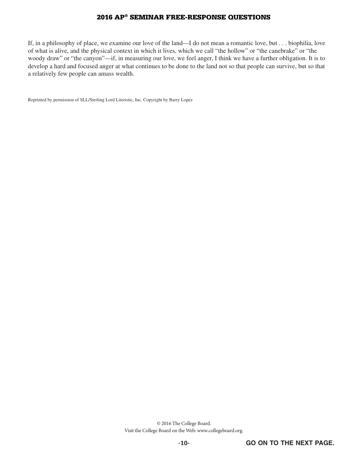If, in a philosophy of place, we examine our love of the land—I do not mean a romantic love, but... biophilia, love of what is alive, and the physical context in which it lives, which we call "the hollow" or "the canebrake" or "the woody draw" or "the canyon"—if, in measuring our love, we feel anger, I think we have a further obligation. It is to develop a hard and focused anger at what continues to be done to the land not so that people can survive, but so that a relatively few people can amass wealth.

Reprinted by permission of SLL/Sterling Lord Literistic, Inc. Copyright by Barry Lopez

© 2016 The College Board. Visit the College Board on the Web: www.collegeboard.org.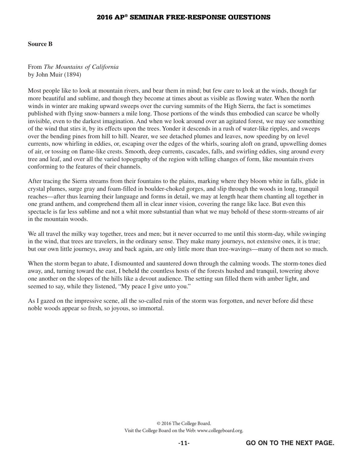#### **Source B**

From *The Mountains of California*  by John Muir (1894)

Most people like to look at mountain rivers, and bear them in mind; but few care to look at the winds, though far more beautiful and sublime, and though they become at times about as visible as flowing water. When the north winds in winter are making upward sweeps over the curving summits of the High Sierra, the fact is sometimes published with flying snow-banners a mile long. Those portions of the winds thus embodied can scarce be wholly invisible, even to the darkest imagination. And when we look around over an agitated forest, we may see something of the wind that stirs it, by its effects upon the trees. Yonder it descends in a rush of water-like ripples, and sweeps over the bending pines from hill to hill. Nearer, we see detached plumes and leaves, now speeding by on level currents, now whirling in eddies, or, escaping over the edges of the whirls, soaring aloft on grand, upswelling domes of air, or tossing on flame-like crests. Smooth, deep currents, cascades, falls, and swirling eddies, sing around every tree and leaf, and over all the varied topography of the region with telling changes of form, like mountain rivers conforming to the features of their channels.

After tracing the Sierra streams from their fountains to the plains, marking where they bloom white in falls, glide in crystal plumes, surge gray and foam-filled in boulder-choked gorges, and slip through the woods in long, tranquil reaches—after thus learning their language and forms in detail, we may at length hear them chanting all together in one grand anthem, and comprehend them all in clear inner vision, covering the range like lace. But even this spectacle is far less sublime and not a whit more substantial than what we may behold of these storm-streams of air in the mountain woods.

We all travel the milky way together, trees and men; but it never occurred to me until this storm-day, while swinging in the wind, that trees are travelers, in the ordinary sense. They make many journeys, not extensive ones, it is true; but our own little journeys, away and back again, are only little more than tree-wavings—many of them not so much.

When the storm began to abate, I dismounted and sauntered down through the calming woods. The storm-tones died away, and, turning toward the east, I beheld the countless hosts of the forests hushed and tranquil, towering above one another on the slopes of the hills like a devout audience. The setting sun filled them with amber light, and seemed to say, while they listened, "My peace I give unto you."

As I gazed on the impressive scene, all the so-called ruin of the storm was forgotten, and never before did these noble woods appear so fresh, so joyous, so immortal.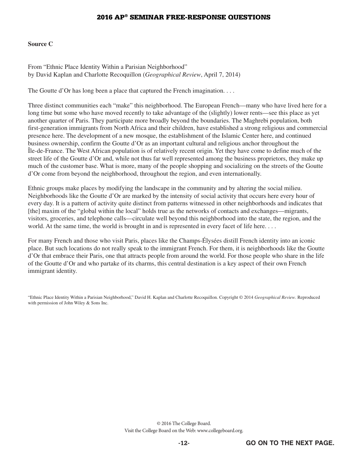#### 2016 AP® SEMINAR FREE-RESPONSE QUESTIONS

#### **Source C**

From "Ethnic Place Identity Within a Parisian Neighborhood" by David Kaplan and Charlotte Recoquillon (*Geographical Review*, April 7, 2014)

The Goutte d'Or has long been a place that captured the French imagination....

Three distinct communities each "make" this neighborhood. The European French—many who have lived here for a long time but some who have moved recently to take advantage of the (slightly) lower rents—see this place as yet another quarter of Paris. They participate more broadly beyond the boundaries. The Maghrebi population, both first-generation immigrants from North Africa and their children, have established a strong religious and commercial presence here. The development of a new mosque, the establishment of the Islamic Center here, and continued business ownership, confirm the Goutte d'Or as an important cultural and religious anchor throughout the Île-de-France. The West African population is of relatively recent origin. Yet they have come to define much of the street life of the Goutte d'Or and, while not thus far well represented among the business proprietors, they make up much of the customer base. What is more, many of the people shopping and socializing on the streets of the Goutte d'Or come from beyond the neighborhood, throughout the region, and even internationally.

Ethnic groups make places by modifying the landscape in the community and by altering the social milieu. Neighborhoods like the Goutte d'Or are marked by the intensity of social activity that occurs here every hour of every day. It is a pattern of activity quite distinct from patterns witnessed in other neighborhoods and indicates that [the] maxim of the "global within the local" holds true as the networks of contacts and exchanges—migrants, visitors, groceries, and telephone calls—circulate well beyond this neighborhood into the state, the region, and the world. At the same time, the world is brought in and is represented in every facet of life here....

For many French and those who visit Paris, places like the Champs-Élysées distill French identity into an iconic place. But such locations do not really speak to the immigrant French. For them, it is neighborhoods like the Goutte d'Or that embrace their Paris, one that attracts people from around the world. For those people who share in the life of the Goutte d'Or and who partake of its charms, this central destination is a key aspect of their own French immigrant identity.

"Ethnic Place Identity Within a Parisian Neighborhood," David H. Kaplan and Charlotte Recoquillon. Copyright © 2014 *Geographical Review*. Reproduced with permission of John Wiley & Sons Inc.